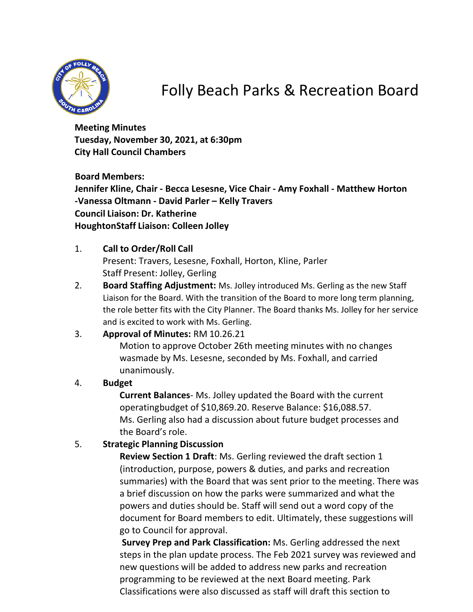

# Folly Beach Parks & Recreation Board

**Meeting Minutes Tuesday, November 30, 2021, at 6:30pm City Hall Council Chambers**

**Board Members: Jennifer Kline, Chair - Becca Lesesne, Vice Chair - Amy Foxhall - Matthew Horton -Vanessa Oltmann - David Parler – Kelly Travers Council Liaison: Dr. Katherine HoughtonStaff Liaison: Colleen Jolley**

- 1. **Call to Order/Roll Call** Present: Travers, Lesesne, Foxhall, Horton, Kline, Parler Staff Present: Jolley, Gerling
- 2. **Board Staffing Adjustment:** Ms. Jolley introduced Ms. Gerling as the new Staff Liaison for the Board. With the transition of the Board to more long term planning, the role better fits with the City Planner. The Board thanks Ms. Jolley for her service and is excited to work with Ms. Gerling.

## 3. **Approval of Minutes:** RM 10.26.21 Motion to approve October 26th meeting minutes with no changes wasmade by Ms. Lesesne, seconded by Ms. Foxhall, and carried unanimously.

#### 4. **Budget**

**Current Balances**- Ms. Jolley updated the Board with the current operatingbudget of \$10,869.20. Reserve Balance: \$16,088.57. Ms. Gerling also had a discussion about future budget processes and the Board's role.

#### 5. **Strategic Planning Discussion**

**Review Section 1 Draft**: Ms. Gerling reviewed the draft section 1 (introduction, purpose, powers & duties, and parks and recreation summaries) with the Board that was sent prior to the meeting. There was a brief discussion on how the parks were summarized and what the powers and duties should be. Staff will send out a word copy of the document for Board members to edit. Ultimately, these suggestions will go to Council for approval.

**Survey Prep and Park Classification:** Ms. Gerling addressed the next steps in the plan update process. The Feb 2021 survey was reviewed and new questions will be added to address new parks and recreation programming to be reviewed at the next Board meeting. Park Classifications were also discussed as staff will draft this section to